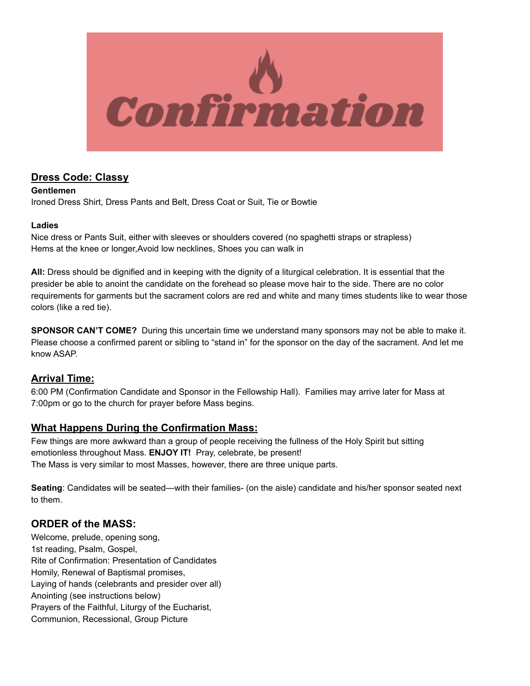

# **Dress Code: Classy**

**Gentlemen** Ironed Dress Shirt, Dress Pants and Belt, Dress Coat or Suit, Tie or Bowtie

### **Ladies**

Nice dress or Pants Suit, either with sleeves or shoulders covered (no spaghetti straps or strapless) Hems at the knee or longer,Avoid low necklines, Shoes you can walk in

**All:** Dress should be dignified and in keeping with the dignity of a liturgical celebration. It is essential that the presider be able to anoint the candidate on the forehead so please move hair to the side. There are no color requirements for garments but the sacrament colors are red and white and many times students like to wear those colors (like a red tie).

**SPONSOR CAN'T COME?** During this uncertain time we understand many sponsors may not be able to make it. Please choose a confirmed parent or sibling to "stand in" for the sponsor on the day of the sacrament. And let me know ASAP.

## **Arrival Time:**

6:00 PM (Confirmation Candidate and Sponsor in the Fellowship Hall). Families may arrive later for Mass at 7:00pm or go to the church for prayer before Mass begins.

## **What Happens During the Confirmation Mass:**

Few things are more awkward than a group of people receiving the fullness of the Holy Spirit but sitting emotionless throughout Mass. **ENJOY IT!** Pray, celebrate, be present! The Mass is very similar to most Masses, however, there are three unique parts.

**Seating**: Candidates will be seated—with their families- (on the aisle) candidate and his/her sponsor seated next to them.

# **ORDER of the MASS:**

Welcome, prelude, opening song, 1st reading, Psalm, Gospel, Rite of Confirmation: Presentation of Candidates Homily, Renewal of Baptismal promises, Laying of hands (celebrants and presider over all) Anointing (see instructions below) Prayers of the Faithful, Liturgy of the Eucharist, Communion, Recessional, Group Picture